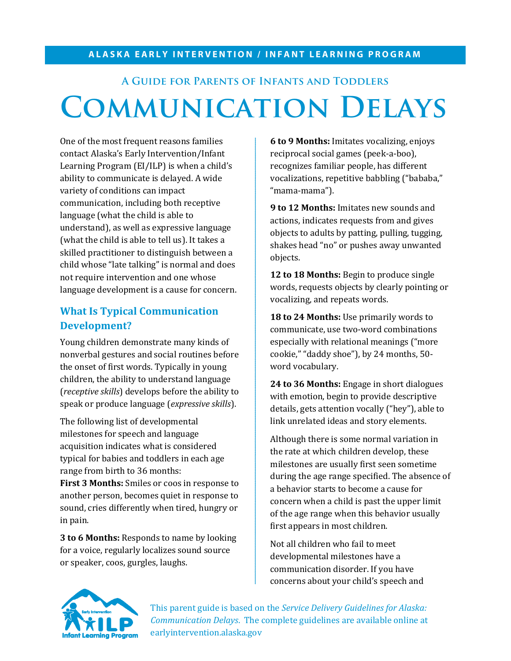#### **ALASKA EARLY INTERVENTION / INFANT LEARNING PROGRAM**

# **A Guide for Parents of Infants and Toddlers Communication Delays**

One of the most frequent reasons families contact Alaska's Early Intervention/Infant Learning Program (EI/ILP) is when a child's ability to communicate is delayed. A wide variety of conditions can impact communication, including both receptive language (what the child is able to understand), as well as expressive language (what the child is able to tell us). It takes a skilled practitioner to distinguish between a child whose "late talking" is normal and does not require intervention and one whose language development is a cause for concern.

## **What Is Typical Communication Development?**

Young children demonstrate many kinds of nonverbal gestures and social routines before the onset of first words. Typically in young children, the ability to understand language (*receptive skills*) develops before the ability to speak or produce language (*expressive skills*).

The following list of developmental milestones for speech and language acquisition indicates what is considered typical for babies and toddlers in each age range from birth to 36 months:

**First 3 Months:** Smiles or coos in response to another person, becomes quiet in response to sound, cries differently when tired, hungry or in pain.

**3 to 6 Months:** Responds to name by looking for a voice, regularly localizes sound source or speaker, coos, gurgles, laughs.

**6 to 9 Months:** Imitates vocalizing, enjoys reciprocal social games (peek-a-boo), recognizes familiar people, has different vocalizations, repetitive babbling ("bababa," "mama-mama").

**9 to 12 Months:** Imitates new sounds and actions, indicates requests from and gives objects to adults by patting, pulling, tugging, shakes head "no" or pushes away unwanted objects.

12 to 18 Months: Begin to produce single words, requests objects by clearly pointing or vocalizing, and repeats words.

**18 to 24 Months:** Use primarily words to communicate, use two-word combinations especially with relational meanings ("more cookie," "daddy shoe"), by 24 months, 50 word vocabulary.

**24 to 36 Months:** Engage in short dialogues with emotion, begin to provide descriptive details, gets attention vocally ("hey"), able to link unrelated ideas and story elements.

Although there is some normal variation in the rate at which children develop, these milestones are usually first seen sometime during the age range specified. The absence of a behavior starts to become a cause for concern when a child is past the upper limit of the age range when this behavior usually first appears in most children.

Not all children who fail to meet developmental milestones have a communication disorder. If you have concerns about your child's speech and



This parent guide is based on the *Service Delivery Guidelines for Alaska: Communication Delays*. The complete guidelines are available online at earlyintervention.alaska.gov